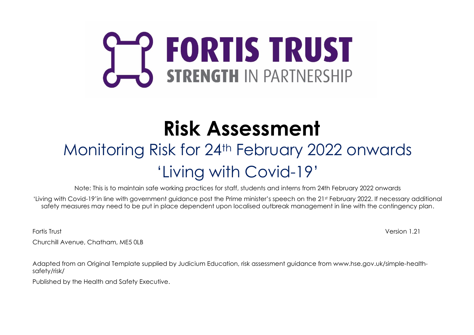# **SEP FORTIS TRUST**

## **Risk Assessment**

## Monitoring Risk for 24th February 2022 onwards 'Living with Covid-19'

Note: This is to maintain safe working practices for staff, students and interns from 24th February 2022 onwards

'Living with Covid-19'in line with government guidance post the Prime minister's speech on the 21st February 2022. If necessary additional safety measures may need to be put in place dependent upon localised outbreak management in line with the contingency plan.

Fortis Trust Version 1.21

Churchill Avenue, Chatham, ME5 0LB

Adapted from an Original Template supplied by Judicium Education, risk assessment guidance from www.hse.gov.uk/simple-healthsafety/risk/

Published by the Health and Safety Executive.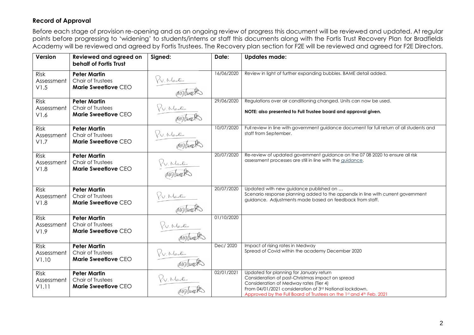#### **Record of Approval**

Before each stage of provision re-opening and as an ongoing review of progress this document will be reviewed and updated. At regular points before progressing to 'widening' to students/interns or staff this documents along with the Fortis Trust Recovery Plan for Bradfields Academy will be reviewed and agreed by Fortis Trustees. The Recovery plan section for F2E will be reviewed and agreed for F2E Directors.

| Version                           | <b>Reviewed and agreed on</b><br>behalf of Fortis Trust         | Signed:     | Date:      | <b>Updates made:</b>                                                                                                                                                                                                                                                    |
|-----------------------------------|-----------------------------------------------------------------|-------------|------------|-------------------------------------------------------------------------------------------------------------------------------------------------------------------------------------------------------------------------------------------------------------------------|
| Risk<br>Assessment<br>V1.5        | <b>Peter Martin</b><br>Chair of Trustees<br>Marie Sweetlove CEO | P.V. Martin | 16/06/2020 | Review in light of further expanding bubbles. BAME detail added.                                                                                                                                                                                                        |
| Risk<br>Assessment<br>V1.6        | <b>Peter Martin</b><br>Chair of Trustees<br>Marie Sweetlove CEO | P.V. Martin | 29/06/2020 | Regulations over air conditioning changed. Units can now be used.<br>NOTE: also presented to Full Trustee board and approval given.                                                                                                                                     |
| <b>Risk</b><br>Assessment<br>V1.7 | <b>Peter Martin</b><br>Chair of Trustees<br>Marie Sweetlove CEO | P.V. Martin | 10/07/2020 | Full review in line with government guidance document for full return of all students and<br>staff from September.                                                                                                                                                      |
| <b>Risk</b><br>Assessment<br>V1.8 | <b>Peter Martin</b><br>Chair of Trustees<br>Marie Sweetlove CEO | P.V. Martin | 20/07/2020 | Re-review of updated government guidance on the 07 08 2020 to ensure all risk<br>assessment processes are still in line with the guidance.                                                                                                                              |
| Risk<br>Assessment<br>V1.8        | <b>Peter Martin</b><br>Chair of Trustees<br>Marie Sweetlove CEO | P.V. Martin | 20/07/2020 | Updated with new guidance published on<br>Scenario response planning added to the appendix in line with current government<br>guidance. Adjustments made based on feedback from staff.                                                                                  |
| <b>Risk</b><br>Assessment<br>V1.9 | <b>Peter Martin</b><br>Chair of Trustees<br>Marie Sweetlove CEO | P.V. Martin | 01/10/2020 |                                                                                                                                                                                                                                                                         |
| Risk<br>Assessment<br>V1.10       | <b>Peter Martin</b><br>Chair of Trustees<br>Marie Sweetlove CEO | P.V. Martin | Dec/ 2020  | Impact of rising rates in Medway<br>Spread of Covid within the academy December 2020                                                                                                                                                                                    |
| Risk<br>Assessment<br>V1.11       | <b>Peter Martin</b><br>Chair of Trustees<br>Marie Sweetlove CEO | P.V. Martin | 02/01/2021 | Updated for planning for January return<br>Consideration of post-Christmas impact on spread<br>Consideration of Medway rates (Tier 4)<br>From 04/01/2021 consideration of 3rd National lockdown.<br>Approved by the Full Board of Trustees on the 1st and 4th Feb. 2021 |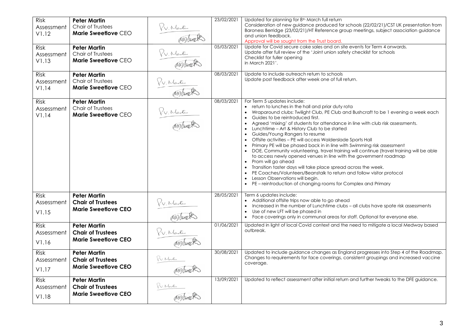| Risk<br>Assessment<br>V1.12<br>Risk<br>Assessment<br>V1.13<br>Risk | <b>Peter Martin</b><br>Chair of Trustees<br>Marie Sweetlove CEO<br><b>Peter Martin</b><br>Chair of Trustees<br>Marie Sweetlove CEO<br><b>Peter Martin</b> | P.V. Martin<br>P.V. Martin | 23/02/2021<br>05/03/2021<br>08/03/2021 | Updated for planning for 8 <sup>th</sup> March full return<br>Consideration of new guidance produced for schools (22/02/21)/CST UK presentation from<br>Baroness Berridge (23/02/21)/HT Reference group meetings, subject association guidance<br>and union feedback.<br>Approval will be sought from the Trust board.<br>Update for Covid secure cake sales and on site events for Term 4 onwards.<br>Update after full review of the 'Joint union safety checklist for schools<br>Checklist for fuller opening<br>in March 2021'.<br>Update to include outreach return to schools                                                                                                                                                                                                                                                                                                                                                                                                                                                                                                                             |
|--------------------------------------------------------------------|-----------------------------------------------------------------------------------------------------------------------------------------------------------|----------------------------|----------------------------------------|-----------------------------------------------------------------------------------------------------------------------------------------------------------------------------------------------------------------------------------------------------------------------------------------------------------------------------------------------------------------------------------------------------------------------------------------------------------------------------------------------------------------------------------------------------------------------------------------------------------------------------------------------------------------------------------------------------------------------------------------------------------------------------------------------------------------------------------------------------------------------------------------------------------------------------------------------------------------------------------------------------------------------------------------------------------------------------------------------------------------|
| Assessment<br>V1.14                                                | Chair of Trustees<br>Marie Sweetlove CEO                                                                                                                  | P.V. Martin<br>Misweet     |                                        | Update post feedback after week one of full return.                                                                                                                                                                                                                                                                                                                                                                                                                                                                                                                                                                                                                                                                                                                                                                                                                                                                                                                                                                                                                                                             |
| Risk<br>Assessment<br>V1.14                                        | <b>Peter Martin</b><br>Chair of Trustees<br>Marie Sweetlove CEO                                                                                           | P.V. Martin                | 08/03/2021                             | For Term 5 updates include:<br>• return to lunches in the hall and prior duty rota<br>Wraparound clubs: Twilight Club, PE Club and Bushcraft to be 1 evening a week each<br>$\bullet$<br>Guides to be reintroduced first.<br>$\bullet$<br>Agreed 'mixing' of students for attendance in line with club risk assessments.<br>$\bullet$<br>Lunchtime - Art & History Club to be started<br>$\bullet$<br>Guides/Young Rangers to resume<br>$\bullet$<br>Offsite activities - PE will access Walderslade Sports Hall<br>$\bullet$<br>Primary PE will be phased back in in line with Swimming risk assessment<br>$\bullet$<br>DOE, Community volunteering, travel training will continue (travel training will be able<br>$\bullet$<br>to access newly opened venues in line with the government roadmap<br>Prom will go ahead<br>$\bullet$<br>Transition taster days will take place spread across the week.<br>$\bullet$<br>PE Coaches/Volunteers/Beanstalk to return and follow visitor protocol<br>Lesson Observations will begin.<br>$\bullet$<br>PE – reintroduction of changing rooms for Complex and Primary |
| <b>Risk</b><br>Assessment<br>V1.15                                 | <b>Peter Martin</b><br><b>Chair of Trustees</b><br><b>Marie Sweetlove CEO</b>                                                                             | P.V. Martin                | 28/05/2021                             | Term 6 updates include:<br>Additional offsite trips now able to go ahead<br>Increased in the number of Lunchtime clubs - all clubs have spate risk assessments<br>$\bullet$<br>Use of new LFT will be phased in<br>• Face coverings only in communal areas for staff. Optional for everyone else.                                                                                                                                                                                                                                                                                                                                                                                                                                                                                                                                                                                                                                                                                                                                                                                                               |
| <b>Risk</b><br>Assessment<br>V1.16                                 | <b>Peter Martin</b><br><b>Chair of Trustees</b><br><b>Marie Sweetlove CEO</b>                                                                             | P.V. Nartin<br>Misweeks    | 01/06/2021                             | Updated in light of local Covid context and the need to mitigate a local Medway based<br>outbreak.                                                                                                                                                                                                                                                                                                                                                                                                                                                                                                                                                                                                                                                                                                                                                                                                                                                                                                                                                                                                              |
| Risk<br>Assessment<br>V1.17                                        | <b>Peter Martin</b><br><b>Chair of Trustees</b><br><b>Marie Sweetlove CEO</b>                                                                             | P.V. Martin<br>Misweets    | 30/08/2021                             | Updated to include guidance changes as England progresses into Step 4 of the Roadmap.<br>Changes to requirements for face coverings, consistent groupings and increased vaccine<br>coverage.                                                                                                                                                                                                                                                                                                                                                                                                                                                                                                                                                                                                                                                                                                                                                                                                                                                                                                                    |
| <b>Risk</b><br>Assessment<br>V1.18                                 | <b>Peter Martin</b><br><b>Chair of Trustees</b><br><b>Marie Sweetlove CEO</b>                                                                             | P.V. Nartin                | 13/09/2021                             | Updated to reflect assessment after initial return and further tweaks to the DFE guidance.                                                                                                                                                                                                                                                                                                                                                                                                                                                                                                                                                                                                                                                                                                                                                                                                                                                                                                                                                                                                                      |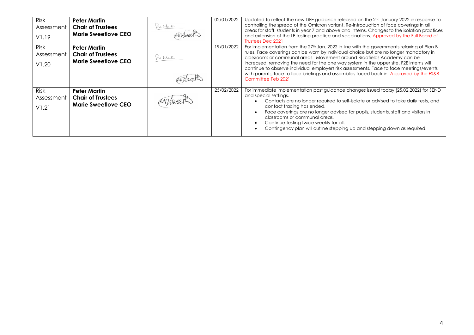| <b>Risk</b><br>Assessment<br>V1.19 | <b>Peter Martin</b><br><b>Chair of Trustees</b><br><b>Marie Sweetlove CEO</b> | Y.V. Martin | 02/01/2022 | Updated to reflect the new DFE guidance released on the 2 <sup>nd</sup> January 2022 in response to<br>controlling the spread of the Omicron variant. Re-introduction of face coverings in all<br>areas for staff, students in year 7 and above and interns. Changes to the isolation practices<br>and extension of the LF testing practice and vaccinations. Approved by the Full Board of<br>Trustees Dec 2021                                                                                                                                                                  |
|------------------------------------|-------------------------------------------------------------------------------|-------------|------------|-----------------------------------------------------------------------------------------------------------------------------------------------------------------------------------------------------------------------------------------------------------------------------------------------------------------------------------------------------------------------------------------------------------------------------------------------------------------------------------------------------------------------------------------------------------------------------------|
| <b>Risk</b><br>Assessment<br>V1.20 | <b>Peter Martin</b><br><b>Chair of Trustees</b><br><b>Marie Sweetlove CEO</b> | Y.V. Martin | 19/01/2022 | For implementation from the 27 <sup>th</sup> Jan. 2022 in line with the governments relaxing of Plan B<br>rules. Face coverings can be worn by individual choice but are no longer mandatory in<br>classrooms or communal areas. Movement around Bradfields Academy can be<br>increased, removing the need for the one way system in the upper site. F2E interns will<br>continue to observe individual employers risk assessments. Face to face meetings/events<br>with parents, face to face briefings and assemblies faced back in. Approved by the FS&B<br>Committee Feb 2021 |
| <b>Risk</b><br>Assessment<br>V1.21 | <b>Peter Martin</b><br><b>Chair of Trustees</b><br><b>Marie Sweetlove CEO</b> |             | 25/02/2022 | For immediate implementation post guidance changes issued today (25.02.2022) for SEND<br>and special settings.<br>Contacts are no longer required to self-isolate or advised to take daily tests, and<br>contact tracing has ended.<br>Face coverings are no longer advised for pupils, students, staff and visitors in<br>classrooms or communal areas.<br>Continue testing twice weekly for all.<br>Contingency plan will outline stepping up and stepping down as required.                                                                                                    |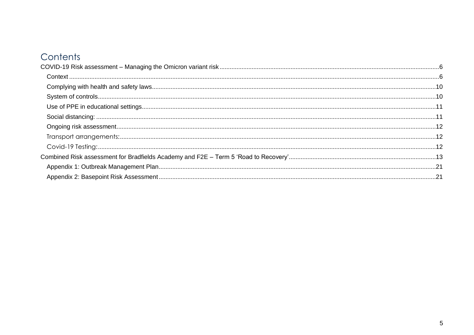### Contents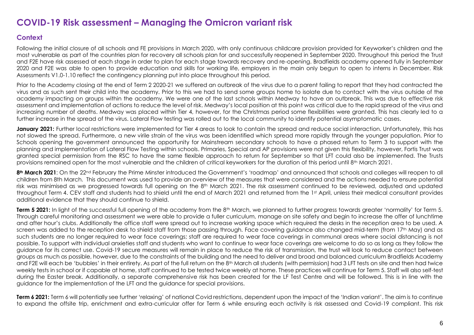#### <span id="page-5-0"></span>**COVID-19 Risk assessment – Managing the Omicron variant risk**

#### <span id="page-5-1"></span>**Context**

Following the initial closure of all schools and FE provisions in March 2020, with only continuous childcare provision provided for Keyworker's children and the most vulnerable as part of the countries plan for recovery all schools plan for and successfully reopened in September 2020. Throughout this period the Trust and F2E have risk assessed at each stage in order to plan for each stage towards recovery and re-opening. Bradfields academy opened fully in September 2020 and F2E was able to open to provide education and skills for working life, employers in the main only begun to open to interns in December. Risk Assessments V1.0-1.10 reflect the contingency planning put into place throughout this period.

Prior to the Academy closing at the end of Term 2 2020-21 we suffered an outbreak of the virus due to a parent failing to report that they had contracted the virus and as such sent their child into the academy. Prior to this we had to send some groups home to isolate due to contact with the virus outside of the academy impacting on groups within the academy. We were one of the last schools within Medway to have an outbreak. This was due to effective risk assessment and implementation of actions to reduce the level of risk. Medway's local position at this point was critical due to the rapid spread of the virus and increasing number of deaths. Medway was placed within Tier 4, however, for the Christmas period some flexibilities were granted. This has clearly led to a further increase in the spread of the virus. Lateral Flow testing was rolled out to the local community to identify potential asymptomatic cases.

**January 2021:** Further local restrictions were implemented for Tier 4 areas to look to contain the spread and reduce social interaction. Unfortunately, this has not slowed the spread. Furthermore, a new virile strain of the virus was been identified which spread more rapidly through the younger population. Prior to Schools opening the government announced the opportunity for Mainstream secondary schools to have a phased return to Term 3 to support with the planning and implementation of Lateral Flow Testing within schools. Primaries, Special and AP provisions were not given this flexibility, however, Fortis Trust was granted special permission from the RSC to have the same flexible approach to return for September so that LFT could also be implemented. The Trusts provisions remained open for the most vulnerable and the children of critical keyworkers for the duration of this period until 8<sup>th</sup> March 2021.

8<sup>th</sup> March 2021: On the 22<sup>nd</sup> February the Prime Minster introduced the Government's 'roadmap' and announced that schools and colleges will reopen to all children from 8th March. This document was used to provide an overview of the measures that were considered and the actions needed to ensure potential risk was minimised as we progressed towards full opening on the 8th March 2021. The risk assessment continued to be reviewed, adjusted and updated throughout Term 4. CEV staff and students had to shield until the end of March 2021 and returned from the 1st April, unless their medical consultant provides additional evidence that they should continue to shield.

**Term 5 2021:** In light of the successful full opening of the academy from the 8<sup>th</sup> March, we planned to further progress towards greater 'normality' for Term 5. Through careful monitoring and assessment we were able to provide a fuller curriculum, manage on site safety and begin to increase the offer of lunchtime and after hour's clubs. Additionally the office staff were spread out to increase working space which required the desks in the reception area to be used. A screen was added to the reception desk to shield staff from those passing through. Face covering guidance also changed mid-term (from 17th May) and as such students are no longer required to wear face coverings; staff are required to wear face coverings in communal areas where social distancing is not possible. To support with individual anxieties staff and students who want to continue to wear face coverings are welcome to do so as long as they follow the guidance for its correct use. Covid-19 secure measures will remain in place to reduce the risk of transmission, the trust will look to reduce contact between groups as much as possible, however, due to the constraints of the building and the need to deliver and broad and balanced curriculum Bradfields Academy and F2E will each be 'bubbles' in their entirety. As part of the full return on the 8<sup>th</sup> March all students (with permission) had 3 LFT tests on site and then had twice weekly tests in school or if capable at home, staff continued to be tested twice weekly at home. These practices will continue for Term 5. Staff will also self-test during the Easter break. Additionally, a separate comprehensive risk has been created for the LF Test Centre and will be followed. This is in line with the guidance for the implementation of the LFT and the guidance for special provisions.

**Term 6 2021:** Term 6 will potentially see further 'relaxing' of national Covid restrictions, dependent upon the impact of the 'Indian variant'. The aim is to continue to expand the offsite trip, enrichment and extra-curricular offer for Term 6 while ensuring each activity is risk assessed and Covid-19 compliant. This risk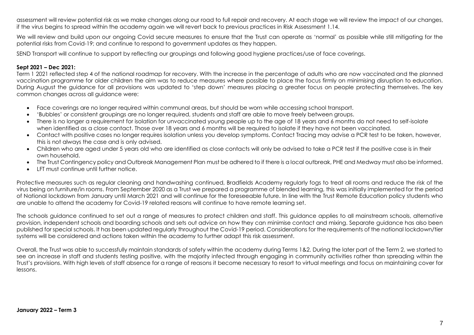assessment will review potential risk as we make changes along our road to full repair and recovery. At each stage we will review the impact of our changes, if the virus begins to spread within the academy again we will revert back to previous practices in Risk Assessment 1.14.

We will review and build upon our ongoing Covid secure measures to ensure that the Trust can operate as 'normal' as possible while still mitigating for the potential risks from Covid-19; and continue to respond to government updates as they happen.

SEND Transport will continue to support by reflecting our groupings and following good hygiene practices/use of face coverings.

#### **Sept 2021 – Dec 2021:**

Term 1 2021 reflected step 4 of the national roadmap for recovery. With the increase in the percentage of adults who are now vaccinated and the planned vaccination programme for older children the aim was to reduce measures where possible to place the focus firmly on minimising disruption to education. During August the guidance for all provisions was updated to 'step down' measures placing a greater focus on people protecting themselves. The key common changes across all guidance were:

- Face coverings are no longer required within communal areas, but should be worn while accessing school transport.
- 'Bubbles' or consistent groupings are no longer required, students and staff are able to move freely between groups.
- There is no longer a requirement for isolation for unvaccinated young people up to the age of 18 years and 6 months do not need to self-isolate when identified as a close contact. Those over 18 years and 6 months will be required to isolate if they have not been vaccinated.
- Contact with positive cases no longer requires isolation unless you develop symptoms. Contact Tracing may advise a PCR test to be taken, however, this is not always the case and is only advised.
- Children who are aged under 5 years old who are identified as close contacts will only be advised to take a PCR test if the positive case is in their own household.
- The Trust Contingency policy and Outbreak Management Plan must be adhered to if there is a local outbreak, PHE and Medway must also be informed.
- LFT must continue until further notice.

Protective measures such as regular cleaning and handwashing continued, Bradfields Academy regularly fogs to treat all rooms and reduce the risk of the virus being on furniture/in rooms. From September 2020 as a Trust we prepared a programme of blended learning, this was initially implemented for the period of National lockdown from January until March 2021 and will continue for the foreseeable future. In line with the Trust Remote Education policy students who are unable to attend the academy for Covid-19 related reasons will continue to have remote learning set.

The schools guidance continued to set out a range of measures to protect children and staff. This guidance applies to all mainstream schools, alternative provision, independent schools and boarding schools and sets out advice on how they can minimise contact and mixing. Separate guidance has also been published for special schools. It has been updated regularly throughout the Covid-19 period. Considerations for the requirements of the national lockdown/tier systems will be considered and actions taken within the academy to further adapt this risk assessment.

Overall, the Trust was able to successfully maintain standards of safety within the academy during Terms 1&2. During the later part of the Term 2, we started to see an increase in staff and students testing positive, with the majority infected through engaging in community activities rather than spreading within the Trust's provisions. With high levels of staff absence for a range of reasons it become necessary to resort to virtual meetings and focus on maintaining cover for lessons.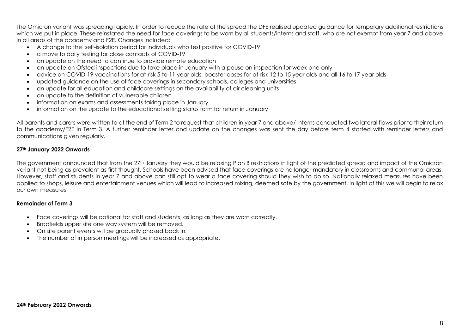The Omicron variant was spreading rapidly. In order to reduce the rate of the spread the DFE realised updated guidance for temporary additional restrictions which we put in place. These reinstated the need for face coverings to be worn by all students/interns and staff, who are not exempt from year 7 and above in all areas of the academy and F2E. Changes included:

- A change to the self-isolation period for individuals who test positive for COVID-19
- a move to daily testing for close contacts of COVID-19
- an update on the need to continue to provide remote education
- an update on Ofsted inspections due to take place in January with a pause on inspection for week one only
- advice on COVID-19 vaccinations for at-risk 5 to 11 year olds, booster doses for at-risk 12 to 15 year olds and all 16 to 17 year olds
- updated guidance on the use of face coverings in secondary schools, colleges and universities
- an update for all education and childcare settings on the availability of air cleaning units
- an update to the definition of vulnerable children
- information on exams and assessments taking place in January
- information on the update to the educational setting status form for return in January

All parents and carers were written to at the end of Term 2 to request that children in year 7 and above/ interns conducted two lateral flows prior to their return to the academy/F2E in Term 3. A further reminder letter and update on the changes was sent the day before term 4 started with reminder letters and communications given regularly.

#### **27th January 2022 Onwards**

The government announced that from the 27<sup>th</sup> January they would be relaxing Plan B restrictions in light of the predicted spread and impact of the Omicron variant not being as prevalent as first thought. Schools have been advised that face coverings are no longer mandatory in classrooms and communal areas. However, staff and students in year 7 and above can still opt to wear a face covering should they wish to do so. Nationally relaxed measures have been applied to shops, leisure and entertainment venues which will lead to increased mixing, deemed safe by the government. In light of this we will begin to relax our own measures:

#### **Remainder of Term 3**

- Face coverings will be optional for staff and students, as long as they are worn correctly.
- Bradfields upper site one way system will be removed.
- On site parent events will be gradually phased back in.
- The number of in person meetings will be increased as appropriate.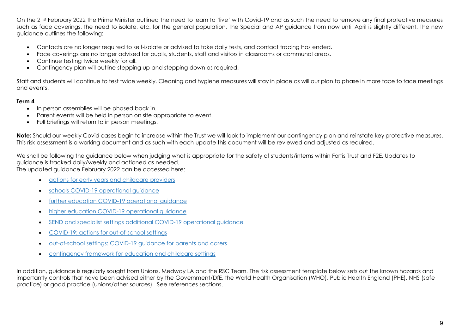On the 21st February 2022 the Prime Minister outlined the need to learn to 'live' with Covid-19 and as such the need to remove any final protective measures such as face coverings, the need to isolate, etc. for the general population. The Special and AP guidance from now until April is slightly different. The new guidance outlines the following:

- Contacts are no longer required to self-isolate or advised to take daily tests, and contact tracing has ended.
- Face coverings are no longer advised for pupils, students, staff and visitors in classrooms or communal areas.
- Continue testing twice weekly for all.
- Contingency plan will outline stepping up and stepping down as required.

Staff and students will continue to test twice weekly. Cleaning and hygiene measures will stay in place as will our plan to phase in more face to face meetings and events.

#### **Term 4**

- In person assemblies will be phased back in.
- Parent events will be held in person on site appropriate to event.
- Full briefings will return to in person meetings.

**Note:** Should our weekly Covid cases begin to increase within the Trust we will look to implement our contingency plan and reinstate key protective measures. This risk assessment is a working document and as such with each update this document will be reviewed and adjusted as required.

We shall be following the guidance below when judging what is appropriate for the safety of students/interns within Fortis Trust and F2E. Updates to guidance is tracked daily/weekly and actioned as needed.

The updated guidance February 2022 can be accessed here:

- actions for early years and [childcare](https://www.gov.uk/government/publications/coronavirus-covid-19-early-years-and-childcare-closures?utm_source=24%20February%202022%20C19&utm_medium=Daily%20Email%20C19&utm_campaign=DfE%20C19) providers
- schools COVID-19 [operational](https://www.gov.uk/government/publications/actions-for-schools-during-the-coronavirus-outbreak?utm_source=24%20February%202022%20C19&utm_medium=Daily%20Email%20C19&utm_campaign=DfE%20C19) guidance
- further education COVID-19 [operational](https://www.gov.uk/government/publications/coronavirus-covid-19-maintaining-further-education-provision?utm_source=24%20February%202022%20C19&utm_medium=Daily%20Email%20C19&utm_campaign=DfE%20C19) guidance
- higher education COVID-19 [operational](https://www.gov.uk/government/publications/higher-education-reopening-buildings-and-campuses?utm_source=24%20February%202022%20C19&utm_medium=Daily%20Email%20C19&utm_campaign=DfE%20C19) guidance
- SEND and specialist settings additional COVID-19 [operational](https://www.gov.uk/government/publications/guidance-for-full-opening-special-schools-and-other-specialist-settings?utm_source=24%20February%202022%20C19&utm_medium=Daily%20Email%20C19&utm_campaign=DfE%20C19) guidance
- COVID-19: actions for [out-of-school](https://www.gov.uk/government/publications/protective-measures-for-holiday-or-after-school-clubs-and-other-out-of-school-settings-for-children-during-the-coronavirus-covid-19-outbreak?utm_source=24%20February%202022%20C19&utm_medium=Daily%20Email%20C19&utm_campaign=DfE%20C19) settings
- [out-of-school](https://www.gov.uk/government/publications/guidance-for-parents-and-carers-of-children-attending-out-of-school-settings-during-the-coronavirus-covid-19-outbreak?utm_source=24%20February%202022%20C19&utm_medium=Daily%20Email%20C19&utm_campaign=DfE%20C19) settings: COVID-19 guidance for parents and carers
- [contingency](https://www.gov.uk/government/publications/coronavirus-covid-19-local-restrictions-in-education-and-childcare-settings?utm_source=24%20February%202022%20C19&utm_medium=Daily%20Email%20C19&utm_campaign=DfE%20C19) framework for education and childcare settings

In addition, guidance is regularly sought from Unions, Medway LA and the RSC Team. The risk assessment template below sets out the known hazards and importantly controls that have been advised either by the Government/DfE, the World Health Organisation (WHO), Public Health England (PHE), NHS (safe practice) or good practice (unions/other sources). See references sections.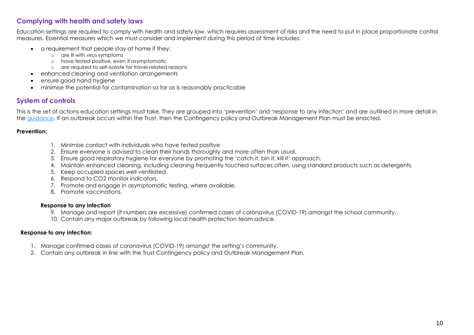#### <span id="page-9-0"></span>**Complying with health and safety laws**

Education settings are required to comply with health and safety law, which requires assessment of risks and the need to put in place proportionate control measures. Essential measures which we must consider and implement during this period of time includes:

- a requirement that people stay at home if they:
	- o are ill with virus symptoms
	- o have tested positive, even if asymptomatic
	- o are required to self-isolate for travel-related reasons
- enhanced cleaning and ventilation arrangements
- ensure good hand hygiene
- minimise the potential for contamination so far as is reasonably practicable

#### <span id="page-9-1"></span>**System of controls**

This is the set of actions education settings must take. They are grouped into 'prevention' and 'response to any infection' and are outlined in more detail in the [guidance.](https://www.gov.uk/government/publications/guidance-for-full-opening-special-schools-and-other-specialist-settings/guidance-for-full-opening-special-schools-and-other-specialist-settings) If an outbreak occurs within the Trust, then the Contingency policy and Outbreak Management Plan must be enacted.

#### **Prevention:**

- 1. Minimise contact with individuals who have tested positive
- 2. Ensure everyone is advised to clean their hands thoroughly and more often than usual.
- 3. Ensure good respiratory hygiene for everyone by promoting the 'catch it, bin it, kill it' approach.
- 4. Maintain enhanced cleaning, including cleaning frequently touched surfaces often, using standard products such as detergents.
- 5. Keep occupied spaces well ventilated.
- 6. Respond to CO2 monitor indicators.
- 7. Promote and engage in asymptomatic testing, where available.
- 8. Promote vaccinations.

#### **Response to any infection**

- 9. Manage and report (if numbers are excessive) confirmed cases of coronavirus (COVID-19) amongst the school community.
- 10. Contain any major outbreak by following local health protection team advice.

#### **Response to any infection:**

- 1. Manage confirmed cases of coronavirus (COVID-19) amongst the setting's community.
- 2. Contain any outbreak in line with the Trust Contingency policy and Outbreak Management Plan.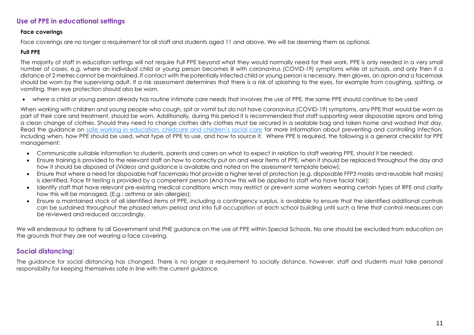#### <span id="page-10-0"></span>**Use of PPE in educational settings**

#### **Face coverings**

Face coverings are no longer a requirement for all staff and students aged 11 and above. We will be deeming them as optional.

#### **Full PPE**

The majority of staff in education settings will not require Full PPE beyond what they would normally need for their work. PPE is only needed in a very small number of cases, e.g. where an individual child or young person becomes ill with coronavirus (COVID-19) symptoms while at schools, and only then if a distance of 2 metres cannot be maintained. If contact with the potentially infected child or young person is necessary, then gloves, an apron and a facemask should be worn by the supervising adult. If a risk assessment determines that there is a risk of splashing to the eyes, for example from coughing, spitting, or vomiting, then eye protection should also be worn.

• where a child or young person already has routine intimate care needs that involves the use of PPE, the same PPE should continue to be used

When working with children and young people who cough, spit or vomit but do not have coronavirus (COVID-19) symptoms, any PPE that would be worn as part of their care and treatment, should be worn. Additionally, during this period it is recommended that staff supporting wear disposable aprons and bring a clean change of clothes. Should they need to change clothes dirty clothes must be secured in a sealable bag and taken home and washed that day. Read the quidance on [safe working in education, childcare and children's social care](https://www.gov.uk/government/publications/safe-working-in-education-childcare-and-childrens-social-care) for more information about preventing and controlling infection, including when, how PPE should be used, what type of PPE to use, and how to source it. Where PPE is required, the following is a general checklist for PPE management:

- Communicate suitable information to students, parents and carers on what to expect in relation to staff wearing PPE, should it be needed;
- Ensure training is provided to the relevant staff on how to correctly put on and wear items of PPE, when it should be replaced throughout the day and how it should be disposed of (Videos and guidance is available and noted on the assessment template below);
- Ensure that where a need for disposable half facemasks that provide a higher level of protection (e.g. disposable FFP3 masks and reusable half masks) is identified. Face fit testing is provided by a competent person (And how this will be applied to staff who have facial hair);
- Identify staff that have relevant pre-existing medical conditions which may restrict or prevent some workers wearing certain types of RPE and clarify how this will be managed. (E.g.: asthma or skin allergies);
- Ensure a maintained stock of all identified items of PPE, including a contingency surplus, is available to ensure that the identified additional controls can be sustained throughout the phased return period and into full occupation of each school building until such a time that control measures can be reviewed and reduced accordingly.

We will endeavour to adhere to all Government and PHE guidance on the use of PPE within Special Schools. No one should be excluded from education on the grounds that they are not wearing a face covering.

#### <span id="page-10-1"></span>**Social distancing:**

The guidance for social distancing has changed. There is no longer a requirement to socially distance, however, staff and students must take personal responsibility for keeping themselves safe in line with the current guidance.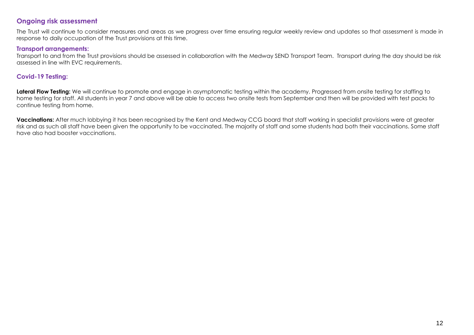#### <span id="page-11-0"></span>**Ongoing risk assessment**

The Trust will continue to consider measures and areas as we progress over time ensuring regular weekly review and updates so that assessment is made in response to daily occupation of the Trust provisions at this time.

#### <span id="page-11-1"></span>**Transport arrangements:**

Transport to and from the Trust provisions should be assessed in collaboration with the Medway SEND Transport Team. Transport during the day should be risk assessed in line with EVC requirements.

#### <span id="page-11-2"></span>**Covid-19 Testing:**

**Lateral Flow Testing:** We will continue to promote and engage in asymptomatic testing within the academy. Progressed from onsite testing for staffing to home testing for staff. All students in year 7 and above will be able to access two onsite tests from September and then will be provided with test packs to continue testing from home.

**Vaccinations:** After much lobbying it has been recognised by the Kent and Medway CCG board that staff working in specialist provisions were at greater risk and as such all staff have been given the opportunity to be vaccinated. The majority of staff and some students had both their vaccinations. Some staff have also had booster vaccinations.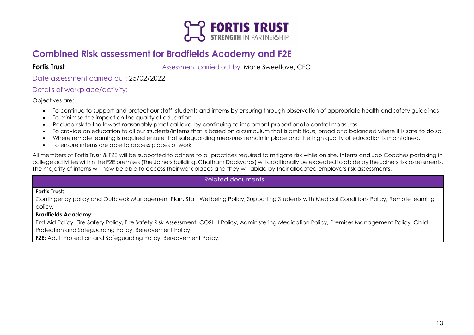

#### <span id="page-12-0"></span>**Combined Risk assessment for Bradfields Academy and F2E**

**Fortis Trust Fortis Trust Assessment carried out by: Marie Sweetlove, CEO** 

Date assessment carried out: 25/02/2022

#### Details of workplace/activity:

Objectives are:

- To continue to support and protect our staff, students and interns by ensuring through observation of appropriate health and safety guidelines
- To minimise the impact on the quality of education
- Reduce risk to the lowest reasonably practical level by continuing to implement proportionate control measures
- To provide an education to all our students/interns that is based on a curriculum that is ambitious, broad and balanced where it is safe to do so.
- Where remote learning is required ensure that safeguarding measures remain in place and the high quality of education is maintained.
- To ensure interns are able to access places of work

All members of Fortis Trust & F2E will be supported to adhere to all practices required to mitigate risk while on site. Interns and Job Coaches partaking in college activities within the F2E premises (The Joiners building, Chatham Dockyards) will additionally be expected to abide by the Joiners risk assessments. The majority of interns will now be able to access their work places and they will abide by their allocated employers risk assessments.

#### Related documents

#### **Fortis Trust:**

Contingency policy and Outbreak Management Plan, Staff Wellbeing Policy, Supporting Students with Medical Conditions Policy, Remote learning policy.

#### **Bradfields Academy:**

First Aid Policy, Fire Safety Policy, Fire Safety Risk Assessment, COSHH Policy, Administering Medication Policy, Premises Management Policy, Child Protection and Safeguarding Policy, Bereavement Policy.

**F2E:** Adult Protection and Safeguarding Policy, Bereavement Policy.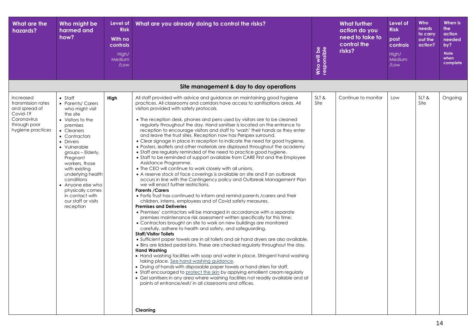| What are the<br>hazards?                                                                                         | Who might be<br>harmed and<br>how?                                                                                                                                                                                                                                                                                                                                      | Level of<br><b>Risk</b><br>With no<br>controls<br>High/<br>Medium<br>/Low | What are you already doing to control the risks?                                                                                                                                                                                                                                                                                                                                                                                                                                                                                                                                                                                                                                                                                                                                                                                                                                                                                                                                                                                                                                                                                                                                                                                                                                                                                                                                                                                                                                                                                                                                                                                                                                                                                                                                                                                                                                                                                                                                                                                                                                                                                                                                                                                                                                                                              | Who will be<br>responsible | <b>What further</b><br>action do you<br>need to take to<br>control the<br>risks? | Level of<br><b>Risk</b><br>post<br>controls<br>High/<br>Medium<br>/Low | Who<br>needs<br>to carry<br>out the<br>action? | When is<br>the<br>action<br>needed<br>by?<br><b>Note</b><br>when<br>complete |
|------------------------------------------------------------------------------------------------------------------|-------------------------------------------------------------------------------------------------------------------------------------------------------------------------------------------------------------------------------------------------------------------------------------------------------------------------------------------------------------------------|---------------------------------------------------------------------------|-------------------------------------------------------------------------------------------------------------------------------------------------------------------------------------------------------------------------------------------------------------------------------------------------------------------------------------------------------------------------------------------------------------------------------------------------------------------------------------------------------------------------------------------------------------------------------------------------------------------------------------------------------------------------------------------------------------------------------------------------------------------------------------------------------------------------------------------------------------------------------------------------------------------------------------------------------------------------------------------------------------------------------------------------------------------------------------------------------------------------------------------------------------------------------------------------------------------------------------------------------------------------------------------------------------------------------------------------------------------------------------------------------------------------------------------------------------------------------------------------------------------------------------------------------------------------------------------------------------------------------------------------------------------------------------------------------------------------------------------------------------------------------------------------------------------------------------------------------------------------------------------------------------------------------------------------------------------------------------------------------------------------------------------------------------------------------------------------------------------------------------------------------------------------------------------------------------------------------------------------------------------------------------------------------------------------------|----------------------------|----------------------------------------------------------------------------------|------------------------------------------------------------------------|------------------------------------------------|------------------------------------------------------------------------------|
|                                                                                                                  |                                                                                                                                                                                                                                                                                                                                                                         |                                                                           | Site management & day to day operations                                                                                                                                                                                                                                                                                                                                                                                                                                                                                                                                                                                                                                                                                                                                                                                                                                                                                                                                                                                                                                                                                                                                                                                                                                                                                                                                                                                                                                                                                                                                                                                                                                                                                                                                                                                                                                                                                                                                                                                                                                                                                                                                                                                                                                                                                       |                            |                                                                                  |                                                                        |                                                |                                                                              |
| Increased<br>transmission rates<br>and spread of<br>Covid-19<br>Coronavirus<br>through poor<br>hygiene practices | $\bullet$ Staff<br>• Parents/ Carers<br>who might visit<br>the site<br>• Visitors to the<br>premises<br>• Cleaners<br>• Contractors<br>• Drivers<br>• Vulnerable<br>groups – Elderly,<br>Pregnant<br>workers, those<br>with existing<br>underlying health<br>conditions<br>• Anyone else who<br>physically comes<br>in contact with<br>our staff or visits<br>reception | High                                                                      | All staff provided with advice and guidance on maintaining good hygiene<br>practices. All classrooms and corridors have access to sanitisations areas. All<br>visitors provided with safety protocols.<br>• The reception desk, phones and pens used by visitors are to be cleaned<br>regularly throughout the day. Hand sanitiser is located on the entrance to<br>reception to encourage visitors and staff to 'wash' their hands as they enter<br>and leave the trust sites. Reception now has Perspex surround.<br>• Clear signage in place in reception to indicate the need for good hygiene.<br>• Posters, leaflets and other materials are displayed throughout the academy<br>• Staff are regularly reminded of the need to practice good hygiene.<br>• Staff to be reminded of support available from CARE First and the Employee<br>Assistance Programme.<br>• The CEO will continue to work closely with all unions.<br>• A reserve stock of face coverings is available on site and if an outbreak<br>occurs in line with the Contingency policy and Outbreak Management Plan<br>we will enact further restrictions.<br><b>Parents / Carers</b><br>• Fortis Trust has continued to inform and remind parents / carers and their<br>children, interns, employees and of Covid safety measures.<br><b>Premises and Deliveries</b><br>• Premises' contractors will be managed in accordance with a separate<br>premises maintenance risk assessment written specifically for this time;<br>• Contractors brought on site to work on new buildings are monitored<br>carefully, adhere to health and safety, and safeguarding.<br><b>Staff/Visitor Toilets</b><br>• Sufficient paper towels are in all toilets and air hand dryers are also available.<br>• Bins are lidded pedal bins. These are checked regularly throughout the day.<br><b>Hand Washing</b><br>• Hand washing facilities with soap and water in place. Stringent hand washing<br>taking place. See hand washing guidance.<br>• Drying of hands with disposable paper towels or hand driers for staff.<br>• Staff encouraged to protect the skin by applying emollient cream regularly<br>• Gel sanitisers in any area where washing facilities not readily available and at<br>points of entrance/exit/ in all classrooms and offices.<br>Cleaning | SLT&<br>Site               | Continue to monitor                                                              | Low                                                                    | SLT&<br>Site                                   | Ongoing                                                                      |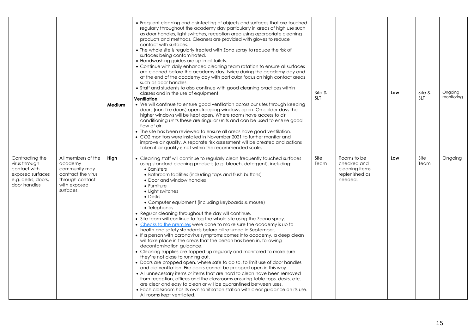|                                                                                                            |                                                                                                                      | Medium | • Frequent cleaning and disinfecting of objects and surfaces that are touched<br>regularly throughout the academy day particularly in areas of high use such<br>as door handles, light switches, reception area using appropriate cleaning<br>products and methods. Cleaners are provided with gloves to reduce<br>contact with surfaces.<br>• The whole site is regularly treated with Zono spray to reduce the risk of<br>surfaces being contaminated.<br>• Handwashing guides are up in all toilets.<br>• Continue with daily enhanced cleaning team rotation to ensure all surfaces<br>are cleaned before the academy day, twice during the academy day and<br>at the end of the academy day with particular focus on high contact areas<br>such as door handles.<br>• Staff and students to also continue with good cleaning practices within<br>classes and in the use of equipment.<br>Ventilation<br>• We will continue to ensure good ventilation across our sites through keeping<br>doors (non-fire doors) open, keeping windows open. On colder days the<br>higher windows will be kept open. Where rooms have access to air<br>conditioning units these are singular units and can be used to ensure good<br>flow of air.<br>• The site has been reviewed to ensure all areas have good ventilation.<br>• CO2 monitors were installed in November 2021 to further monitor and<br>improve air quality. A separate risk assessment will be created and actions<br>taken if air quality is not within the recommended scale. | Site &<br><b>SLT</b> |                                                                           | Low | Site &<br><b>SLT</b> | Ongoing<br>monitoring |
|------------------------------------------------------------------------------------------------------------|----------------------------------------------------------------------------------------------------------------------|--------|----------------------------------------------------------------------------------------------------------------------------------------------------------------------------------------------------------------------------------------------------------------------------------------------------------------------------------------------------------------------------------------------------------------------------------------------------------------------------------------------------------------------------------------------------------------------------------------------------------------------------------------------------------------------------------------------------------------------------------------------------------------------------------------------------------------------------------------------------------------------------------------------------------------------------------------------------------------------------------------------------------------------------------------------------------------------------------------------------------------------------------------------------------------------------------------------------------------------------------------------------------------------------------------------------------------------------------------------------------------------------------------------------------------------------------------------------------------------------------------------------------------------------------------|----------------------|---------------------------------------------------------------------------|-----|----------------------|-----------------------|
| Contracting the<br>virus through<br>contact with<br>exposed surfaces<br>e.g. desks, doors,<br>door handles | All members of the<br>academy<br>community may<br>contract the virus<br>through contact<br>with exposed<br>surfaces. | High   | • Cleaning staff will continue to regularly clean frequently touched surfaces<br>using standard cleaning products (e.g. bleach, detergent), including:<br>• Banisters<br>• Bathroom facilities (including taps and flush buttons)<br>• Door and window handles<br>$\bullet$ Furniture<br>• Light switches<br>$\bullet$ Desks<br>• Computer equipment (including keyboards & mouse)<br>• Telephones<br>• Regular cleaning throughout the day will continue.<br>• Site team will continue to fog the whole site using the Zoono spray.<br>• Checks to the premises were done to make sure the academy is up to<br>health and safety standards before all returned in September.<br>• If a person with coronavirus symptoms comes into academy, a deep clean<br>will take place in the areas that the person has been in, following<br>decontamination guidance.<br>• Cleaning supplies are topped up regularly and monitored to make sure<br>they're not close to running out.<br>• Doors are propped open, where safe to do so, to limit use of door handles<br>and aid ventilation. Fire doors cannot be propped open in this way.<br>• All unnecessary items or items that are hard to clean have been removed<br>from reception, offices and the classrooms ensuring table tops, desks, etc.<br>are clear and easy to clean or will be quarantined between uses.<br>• Each classroom has its own sanitisation station with clear guidance on its use.<br>All rooms kept ventilated.                                                  | Site<br>Team         | Rooms to be<br>checked and<br>cleaning items<br>replenished as<br>needed. | Low | Site<br>Team         | Ongoing               |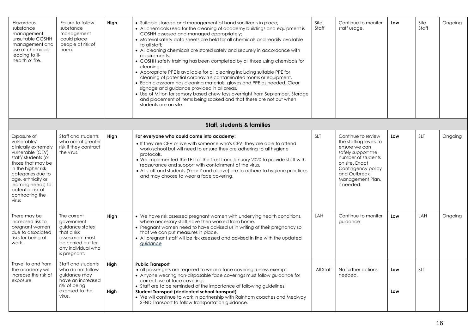| Hazardous<br>substance<br>management,<br>unsuitable COSHH<br>management and<br>use of chemicals<br>leading to ill-<br>health or fire.                                                                                                                    | Failure to follow<br>substance<br>management<br>could place<br>people at risk of<br>harm.                                                  | High         | • Suitable storage and management of hand sanitizer is in place;<br>• All chemicals used for the cleaning of academy buildings and equipment is<br>COSHH assessed and managed appropriately;<br>• Material safety data sheets are held for all chemicals and readily available<br>to all staff;<br>• All cleaning chemicals are stored safely and securely in accordance with<br>requirements;<br>• COSHH safety training has been completed by all those using chemicals for<br>cleaning;<br>• Appropriate PPE is available for all cleaning including suitable PPE for<br>cleaning of potential coronavirus contaminated rooms or equipment.<br>• Each classroom has cleaning materials, gloves and PPE as needed. Clear<br>signage and guidance provided in all areas.<br>• Use of Milton for sensory based chew toys overnight from September. Storage<br>and placement of items being soaked and that these are not out when<br>students are on site. | Site<br>Staff | Continue to monitor<br>staff usage.                                                                                                                                                                 | Low        | Site<br>Staff | Ongoing |
|----------------------------------------------------------------------------------------------------------------------------------------------------------------------------------------------------------------------------------------------------------|--------------------------------------------------------------------------------------------------------------------------------------------|--------------|------------------------------------------------------------------------------------------------------------------------------------------------------------------------------------------------------------------------------------------------------------------------------------------------------------------------------------------------------------------------------------------------------------------------------------------------------------------------------------------------------------------------------------------------------------------------------------------------------------------------------------------------------------------------------------------------------------------------------------------------------------------------------------------------------------------------------------------------------------------------------------------------------------------------------------------------------------|---------------|-----------------------------------------------------------------------------------------------------------------------------------------------------------------------------------------------------|------------|---------------|---------|
|                                                                                                                                                                                                                                                          |                                                                                                                                            |              | <b>Staff, students &amp; families</b>                                                                                                                                                                                                                                                                                                                                                                                                                                                                                                                                                                                                                                                                                                                                                                                                                                                                                                                      |               |                                                                                                                                                                                                     |            |               |         |
| Exposure of<br>vulnerable/<br>clinically extremely<br>vulnerable (CEV)<br>staff/students (or<br>those that may be<br>in the higher risk<br>categories due to<br>age, ethnicity or<br>learning needs) to<br>potential risk of<br>contracting the<br>virus | Staff and students<br>who are at greater<br>risk if they contract<br>the virus.                                                            | Hiah         | For everyone who could come into academy:<br>• If they are CEV or live with someone who's CEV, they are able to attend<br>work/school but will need to ensure they are adhering to all hygiene<br>protocols.<br>• We implemented the LFT for the Trust from January 2020 to provide staff with<br>reassurance and support with containment of the virus.<br>• All staff and students (Year 7 and above) are to adhere to hygiene practices<br>and may choose to wear a face covering.                                                                                                                                                                                                                                                                                                                                                                                                                                                                      | <b>SLT</b>    | Continue to review<br>the staffing levels to<br>ensure we can<br>safely support the<br>number of students<br>on site. Enact<br>Contingency policy<br>and Outbreak<br>Management Plan,<br>if needed. | Low        | <b>SLT</b>    | Ongoing |
| There may be<br>increased risk to<br>pregnant women<br>due to associated<br>risks for being at<br>work.                                                                                                                                                  | The current<br>government<br>guidance states<br>that a risk<br>assessment must<br>be carried out for<br>any individual who<br>is pregnant. | High         | • We have risk assessed pregnant women with underlying health conditions,<br>where necessary staff have then worked from home.<br>• Pregnant women need to have advised us in writing of their pregnancy so<br>that we can put measures in place.<br>• All pregnant staff will be risk assessed and advised in line with the updated<br>guidance                                                                                                                                                                                                                                                                                                                                                                                                                                                                                                                                                                                                           | LAH           | Continue to monitor<br>avidance                                                                                                                                                                     | Low        | LAH           | Ongoing |
| Travel to and from<br>the academy will<br>increase the risk of<br>exposure                                                                                                                                                                               | Staff and students<br>who do not follow<br>guidance may<br>have an increased<br>risk of being<br>exposed to the<br>virus.                  | High<br>High | <b>Public Transport</b><br>• all passengers are required to wear a face covering, unless exempt<br>• Anyone wearing non-disposable face coverings must follow guidance for<br>correct use of face coverings.<br>• Staff are to be reminded of the importance of following quidelines.<br>Student Transport (dedicated school transport)<br>• We will continue to work in partnership with Rainham coaches and Medway<br>SEND Transport to follow transportation guidance.                                                                                                                                                                                                                                                                                                                                                                                                                                                                                  | All Staff     | No further actions<br>needed.                                                                                                                                                                       | Low<br>Low | <b>SLT</b>    |         |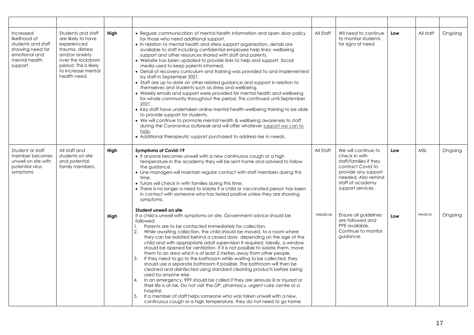| Increased<br>likelihood of<br>students and staff<br>showing need for<br>emotional and<br>mental health<br>support | Students and staff<br>are likely to have<br>experienced<br>trauma, distress<br>and/or anxiety<br>over the lockdown<br>period. This is likely<br>to increase mental<br>health need. | High | • Regular communication of mental health information and open door policy<br>for those who need additional support.<br>• In relation to mental health and stress support organisation, details are<br>available to staff including confidential employee help lines; wellbeing<br>support and other resources shared with staff and parents.<br>• Website has been updated to provide links to help and support. Social<br>media used to keep parents informed.<br>• Detail of recovery curriculum and training was provided to and implemented<br>by staff in September 2021.<br>• Staff are up to date on other related guidance and support in relation to<br>themselves and students such as stress and wellbeing.<br>• Weekly emails and support were provided for mental health and wellbeing<br>for whole community throughout the period. This continued until September<br>2021.<br>• Key staff have undertaken online mental health wellbeing training to be able<br>to provide support for students.<br>• We will continue to promote mental health & wellbeing awareness to staff<br>during the Coronavirus outbreak and will offer whatever support we can to<br>help.<br>• Additional therapeutic support purchased to address rise in needs. | All Staff | Wil need to continue<br>to monitor students<br>for signs of need                                                                                                           | Low | All staff  | Ongoing |
|-------------------------------------------------------------------------------------------------------------------|------------------------------------------------------------------------------------------------------------------------------------------------------------------------------------|------|-------------------------------------------------------------------------------------------------------------------------------------------------------------------------------------------------------------------------------------------------------------------------------------------------------------------------------------------------------------------------------------------------------------------------------------------------------------------------------------------------------------------------------------------------------------------------------------------------------------------------------------------------------------------------------------------------------------------------------------------------------------------------------------------------------------------------------------------------------------------------------------------------------------------------------------------------------------------------------------------------------------------------------------------------------------------------------------------------------------------------------------------------------------------------------------------------------------------------------------------------------------|-----------|----------------------------------------------------------------------------------------------------------------------------------------------------------------------------|-----|------------|---------|
| Student or staff<br>member becomes<br>unwell on site with<br>potential virus<br>symptoms                          | All staff and<br>students on site<br>and potential<br>family members.                                                                                                              | High | <b>Symptoms of Covid-19</b><br>• If anyone becomes unwell with a new continuous cough or a high<br>temperature in the academy they will be sent home and advised to follow<br>the guidance.<br>• Line managers will maintain regular contact with staff members during this<br>time.<br>• Tutors will check in with families during this time.<br>• There is no longer a need to isolate if a child or vaccinated person has been<br>in contact with someone who has tested positive unless they are showing<br>symptoms.                                                                                                                                                                                                                                                                                                                                                                                                                                                                                                                                                                                                                                                                                                                                   | All Staff | We will continue to<br>check in with<br>staff/families if they<br>contract Covid to<br>provide any support<br>needed. Also remind<br>staff of academy<br>support services. | Low | <b>MSL</b> | Ongoing |
|                                                                                                                   |                                                                                                                                                                                    | High | Student unwell on site<br>If a child is unwell with symptoms on site. Government advice should be<br>followed:<br>Parents are to be contacted immediately for collection.<br>1.<br>2.<br>While awaiting collection, the child should be moved, to a room where<br>they can be isolated behind a closed door, depending on the age of the<br>child and with appropriate adult supervision if required. Ideally, a window<br>should be opened for ventilation. If it is not possible to isolate them, move<br>them to an area which is at least 2 metres away from other people.<br>3.<br>If they need to go to the bathroom while waiting to be collected, they<br>should use a separate bathroom if possible. The bathroom will then be<br>cleaned and disinfected using standard cleaning products before being<br>used by anyone else.<br>In an emergency, 999 should be called if they are seriously ill or injured or<br>4.<br>their life is at risk. Do not visit the GP, pharmacy, urgent care centre or a<br>hospital.<br>5.<br>If a member of staff helps someone who was taken unwell with a new,<br>continuous cough or a high temperature, they do not need to go home                                                                           | Medical   | Ensure all guidelines<br>are followed and<br>PPE available.<br>Continue to monitor<br>guidance.                                                                            | Low | Medical    | Ongoing |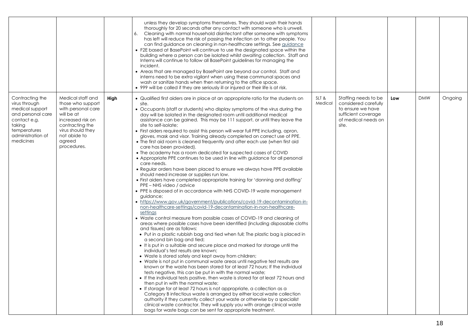|                                                                                                                                                      |                                                                                                                                                                                  |      | unless they develop symptoms themselves. They should wash their hands<br>thoroughly for 20 seconds after any contact with someone who is unwell.<br>6.<br>Cleaning with normal household disinfectant after someone with symptoms<br>has left will reduce the risk of passing the infection on to other people. You<br>can find guidance on cleaning in non-healthcare settings. See guidance<br>• F2E based at BasePoint will continue to use the designated space within the<br>building where a person can be isolated whilst awaiting collection. Staff and<br>Interns will continue to follow all BasePoint guidelines for managing the<br>incident.<br>• Areas that are managed by BasePoint are beyond our control. Staff and<br>interns need to be extra vigilant when using these communal spaces and<br>wash or sanitize hands when then returning to the office space.<br>• 999 will be called if they are seriously ill or injured or their life is at risk.                                                                                                                                                                                                                                                                                                                                                                                                                                                                                                                                                                                                                                                                                                                                                                                                                                                                                                                                                                                                                                                                                                                                                                                                                                                                                                                                                                                                                                                                                                                                                                     |                 |                                                                                                                          |     |            |         |
|------------------------------------------------------------------------------------------------------------------------------------------------------|----------------------------------------------------------------------------------------------------------------------------------------------------------------------------------|------|----------------------------------------------------------------------------------------------------------------------------------------------------------------------------------------------------------------------------------------------------------------------------------------------------------------------------------------------------------------------------------------------------------------------------------------------------------------------------------------------------------------------------------------------------------------------------------------------------------------------------------------------------------------------------------------------------------------------------------------------------------------------------------------------------------------------------------------------------------------------------------------------------------------------------------------------------------------------------------------------------------------------------------------------------------------------------------------------------------------------------------------------------------------------------------------------------------------------------------------------------------------------------------------------------------------------------------------------------------------------------------------------------------------------------------------------------------------------------------------------------------------------------------------------------------------------------------------------------------------------------------------------------------------------------------------------------------------------------------------------------------------------------------------------------------------------------------------------------------------------------------------------------------------------------------------------------------------------------------------------------------------------------------------------------------------------------------------------------------------------------------------------------------------------------------------------------------------------------------------------------------------------------------------------------------------------------------------------------------------------------------------------------------------------------------------------------------------------------------------------------------------------------------------------|-----------------|--------------------------------------------------------------------------------------------------------------------------|-----|------------|---------|
| Contracting the<br>virus through<br>medical support<br>and personal care<br>contact e.g.<br>taking<br>temperatures<br>administration of<br>medicines | Medical staff and<br>those who support<br>with personal care<br>will be at<br>increased risk on<br>contracting the<br>virus should they<br>not abide to<br>agreed<br>procedures. | High | • Qualified first aiders are in place at an appropriate ratio for the students on<br>site.<br>• Occupants (staff or students) who display symptoms of the virus during the<br>day will be isolated in the designated room until additional medical<br>assistance can be gained. This may be 111 support, or until they leave the<br>site to self-isolate;<br>• First aiders required to assist this person will wear full PPE including, apron,<br>gloves, mask and visor. Training already completed on correct use of PPE.<br>• The first aid room is cleaned frequently and after each use (when first aid<br>care has been provided).<br>• The academy has a room dedicated for suspected cases of COVID<br>• Appropriate PPE continues to be used in line with guidance for all personal<br>care needs.<br>• Regular orders have been placed to ensure we always have PPE available<br>should need increase or supplies run low.<br>• First aiders have completed appropriate training for 'donning and doffing'<br>PPE - NHS video / advice<br>• PPE is disposed of in accordance with NHS COVID-19 waste management<br>quidance;<br>• https://www.gov.uk/government/publications/covid-19-decontamination-in-<br>non-healthcare-settings/covid-19-decontamination-in-non-healthcare-<br>settings<br>• Waste control measure from possible cases of COVID-19 and cleaning of<br>areas where possible cases have been identified (including disposable cloths<br>and tissues) are as follows:<br>. Put in a plastic rubbish bag and tied when full; The plastic bag is placed in<br>a second bin bag and tied;<br>• It is put in a suitable and secure place and marked for storage until the<br>individual's test results are known;<br>• Waste is stored safely and kept away from children;<br>• Waste is not put in communal waste areas until negative test results are<br>known or the waste has been stored for at least 72 hours; If the individual<br>tests negative, this can be put in with the normal waste;<br>• If the individual tests positive, then waste is stored for at least 72 hours and<br>then put in with the normal waste;<br>· If storage for at least 72 hours is not appropriate, a collection as a<br>Category B infectious waste is arranged by either local waste collection<br>authority if they currently collect your waste or otherwise by a specialist<br>clinical waste contractor. They will supply you with orange clinical waste<br>bags for waste bags can be sent for appropriate treatment. | SLT&<br>Medical | Staffing needs to be<br>considered carefully<br>to ensure we have<br>sufficient coverage<br>of medical needs on<br>site. | Low | <b>DMW</b> | Ongoing |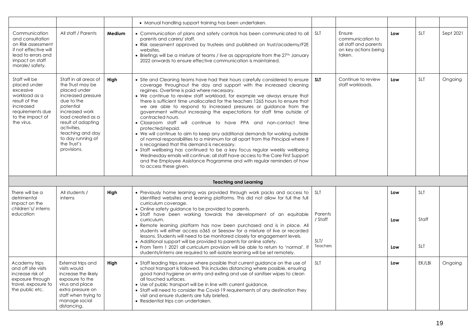|                                                                                                                                                 |                                                                                                                                                                                                                                                               |        | • Manual handling support training has been undertaken.                                                                                                                                                                                                                                                                                                                                                                                                                                                                                                                                                                                                                                                                                                                                                                                                                                                                                                                                                                                                                                                                       |                                               |                                                                                       |                   |                                   |           |
|-------------------------------------------------------------------------------------------------------------------------------------------------|---------------------------------------------------------------------------------------------------------------------------------------------------------------------------------------------------------------------------------------------------------------|--------|-------------------------------------------------------------------------------------------------------------------------------------------------------------------------------------------------------------------------------------------------------------------------------------------------------------------------------------------------------------------------------------------------------------------------------------------------------------------------------------------------------------------------------------------------------------------------------------------------------------------------------------------------------------------------------------------------------------------------------------------------------------------------------------------------------------------------------------------------------------------------------------------------------------------------------------------------------------------------------------------------------------------------------------------------------------------------------------------------------------------------------|-----------------------------------------------|---------------------------------------------------------------------------------------|-------------------|-----------------------------------|-----------|
| Communication<br>and consultation<br>on Risk assessment<br>if not effective will<br>lead to errors and<br>impact on staff<br>morale/safety.     | All staff / Parents                                                                                                                                                                                                                                           | Medium | • Communication of plans and safety controls has been communicated to all<br>parents and carers/staff.<br>• Risk assessment approved by trustees and published on trust/academy/F2E<br>websites.<br>• Briefings will be a mixture of teams / live as appropriate from the 27 <sup>th</sup> January<br>2022 onwards to ensure effective communication is maintained.                                                                                                                                                                                                                                                                                                                                                                                                                                                                                                                                                                                                                                                                                                                                                           | <b>SLT</b>                                    | Ensure<br>communication to<br>all staff and parents<br>on key actions being<br>taken. | Low               | <b>SLT</b>                        | Sept 2021 |
| Staff will be<br>placed under<br>excessive<br>workload as a<br>result of the<br>increased<br>requirements due<br>to the impact of<br>the virus. | Staff in all areas of<br>the Trust may be<br>placed under<br>increased pressure<br>due to the<br>potential<br>increased work<br>load created as a<br>result of adapting<br>activities.<br>teaching and day<br>to day running of<br>the Trust's<br>provisions. | High   | • Site and Cleaning teams have had their hours carefully considered to ensure<br>coverage throughout the day and support with the increased cleaning<br>regimes. Overtime is paid where necessary.<br>• We continue to review staff workload, for example we always ensure that<br>there is sufficient time unallocated for the teachers 1265 hours to ensure that<br>we are able to respond to increased pressures or guidance from the<br>government without increasing the expectations for staff time outside of<br>contracted hours.<br>· Classroom staff will continue to have PPA and non-contact time<br>protected/repaid.<br>• We will continue to aim to keep any additional demands for working outside<br>of normal responsibilities to a minimum for all apart from the Principal where it<br>is recognised that this demand is necessary.<br>• Staff wellbeing has continued to be a key focus regular weekly wellbeing<br>Wednesday emails will continue; all staff have access to the Care First Support<br>and the Employee Assistance Programme and with regular reminders of how<br>to access these given. | <b>SLT</b>                                    | Continue to review<br>staff workloads.                                                | Low               | <b>SLT</b>                        | Ongoing   |
|                                                                                                                                                 |                                                                                                                                                                                                                                                               |        | <b>Teaching and Learning</b>                                                                                                                                                                                                                                                                                                                                                                                                                                                                                                                                                                                                                                                                                                                                                                                                                                                                                                                                                                                                                                                                                                  |                                               |                                                                                       |                   |                                   |           |
| There will be a<br>detrimental<br>impact on the<br>children's/interns<br>education                                                              | All students /<br>interns                                                                                                                                                                                                                                     | High   | • Previously home learning was provided through work packs and access to<br>identified websites and learning platforms. This did not allow for full the full<br>curriculum coverage.<br>• Online safety guidance to be provided to parents.<br>· Staff have been working towards the development of an equitable<br>curriculum.<br>• Remote learning platform has now been purchased and is in place. All<br>students will either access o365 or Seesaw for a mixture of live or recorded<br>lessons. Students will need to be monitored closely for engagement levels.<br>• Additional support will be provided to parents for online safety.<br>• From Term 1 2021 all curriculum provision will be able to return to 'normal'. If<br>students/interns are required to self-isolate learning will be set remotely.                                                                                                                                                                                                                                                                                                          | SLT<br>Parents<br>/ Staff<br>SLT/<br>Teachers |                                                                                       | Low<br>Low<br>Low | <b>SLT</b><br>Staff<br><b>SLT</b> |           |
| Academy trips<br>and off site visits<br>increase risk of<br>exposure through<br>travel, exposure to<br>the public etc.                          | External trips and<br>visits would<br>increase the likely<br>exposure to the<br>virus and place<br>extra pressure on<br>staff when trying to<br>manage social<br>distancing.                                                                                  | High   | • Staff leading trips ensure where possible that current guidance on the use of<br>school transport is followed. This includes distancing where possible, ensuring<br>good hand hygiene on entry and exiting and use of sanitiser wipes to clean<br>all touched surfaces.<br>• Use of public transport will be in line with current guidance.<br>• Staff will need to consider the Covid-19 requirements of any destination they<br>visit and ensure students are fully briefed.<br>• Residential trips can undertaken.                                                                                                                                                                                                                                                                                                                                                                                                                                                                                                                                                                                                       | SLT                                           |                                                                                       | Low               | EK/LBi                            | Ongoing   |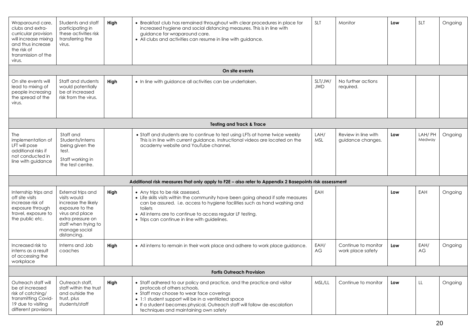| Wraparound care,<br>clubs and extra-<br>curricular provision<br>will increase mixing<br>and thus increase<br>the risk of<br>transmission of the<br>virus. | Students and staff<br>participating in<br>these activities risk<br>transferring the<br>virus.                                                                                | High | • Breakfast club has remained throughout with clear procedures in place for<br>increased hygiene and social distancing measures. This is in line with<br>guidance for wraparound care.<br>• All clubs and activities can resume in line with guidance.                                                                             | <b>SLT</b>            | Monitor                                  | Low | <b>SLT</b>        | Ongoing |
|-----------------------------------------------------------------------------------------------------------------------------------------------------------|------------------------------------------------------------------------------------------------------------------------------------------------------------------------------|------|------------------------------------------------------------------------------------------------------------------------------------------------------------------------------------------------------------------------------------------------------------------------------------------------------------------------------------|-----------------------|------------------------------------------|-----|-------------------|---------|
|                                                                                                                                                           |                                                                                                                                                                              |      | On site events                                                                                                                                                                                                                                                                                                                     |                       |                                          |     |                   |         |
| On site events will<br>lead to mixing of<br>people increasing<br>the spread of the<br>virus.                                                              | Staff and students<br>would potentially<br>be at increased<br>risk from the virus.                                                                                           | High | • In line with guidance all activities can be undertaken.                                                                                                                                                                                                                                                                          | SLT/JW/<br><b>JWD</b> | No further actions<br>required.          |     |                   |         |
|                                                                                                                                                           |                                                                                                                                                                              |      | <b>Testing and Track &amp; Trace</b>                                                                                                                                                                                                                                                                                               |                       |                                          |     |                   |         |
| <b>The</b><br>implementation of<br>LFT will pose<br>additional risks if<br>not conducted in<br>line with guidance                                         | Staff and<br>Students/interns<br>being given the<br>test.<br>Staff working in<br>the test centre.                                                                            |      | • Staff and students are to continue to test using LFTs at home twice weekly<br>This is in line with current guidance. Instructional videos are located on the<br>academy website and YouTube channel.                                                                                                                             | LAH/<br>MSL           | Review in line with<br>guidance changes. | Low | LAH/ PH<br>Medway | Ongoing |
|                                                                                                                                                           |                                                                                                                                                                              |      | Additional risk measures that only apply to F2E - also refer to Appendix 2 Basepoints risk assessment                                                                                                                                                                                                                              |                       |                                          |     |                   |         |
| Internship trips and<br>off site visits<br>increase risk of<br>exposure through<br>travel, exposure to<br>the public etc.                                 | External trips and<br>visits would<br>increase the likely<br>exposure to the<br>virus and place<br>extra pressure on<br>staff when trying to<br>manage social<br>distancing. | High | • Any trips to be risk assessed.<br>• Life skills visits within the community have been going ahead if safe measures<br>can be assured. i.e. access to hygiene facilities such as hand washing and<br>toilets<br>• All interns are to continue to access regular LF testing.<br>• Trips can continue in line with guidelines.      | EAH                   |                                          | Low | EAH               | Ongoing |
| Increased risk to<br>interns as a result<br>of accessing the<br>workplace                                                                                 | Interns and Job<br>coaches                                                                                                                                                   | High | • All interns to remain in their work place and adhere to work place guidance.                                                                                                                                                                                                                                                     | EAH/<br>AG            | Continue to monitor<br>work place safety | Low | EAH/<br>AG        | Ongoing |
|                                                                                                                                                           |                                                                                                                                                                              |      | <b>Fortis Outreach Provision</b>                                                                                                                                                                                                                                                                                                   |                       |                                          |     |                   |         |
| Outreach staff will<br>be at increased<br>risk of catching/<br>transmitting Covid-<br>19 due to visiting<br>different provisions                          | Outreach staff,<br>staff within the trust<br>and outside the<br>trust, plus<br>students/staff                                                                                | High | • Staff adhered to our policy and practice, and the practice and visitor<br>protocols of others schools.<br>• Staff may choose to wear face coverings<br>• 1:1 student support will be in a ventilated space<br>. If a student becomes physical, Outreach staff will follow de-escalation<br>techniques and maintaining own safety | MSL/LL                | Continue to monitor                      | Low | LL                | Ongoing |